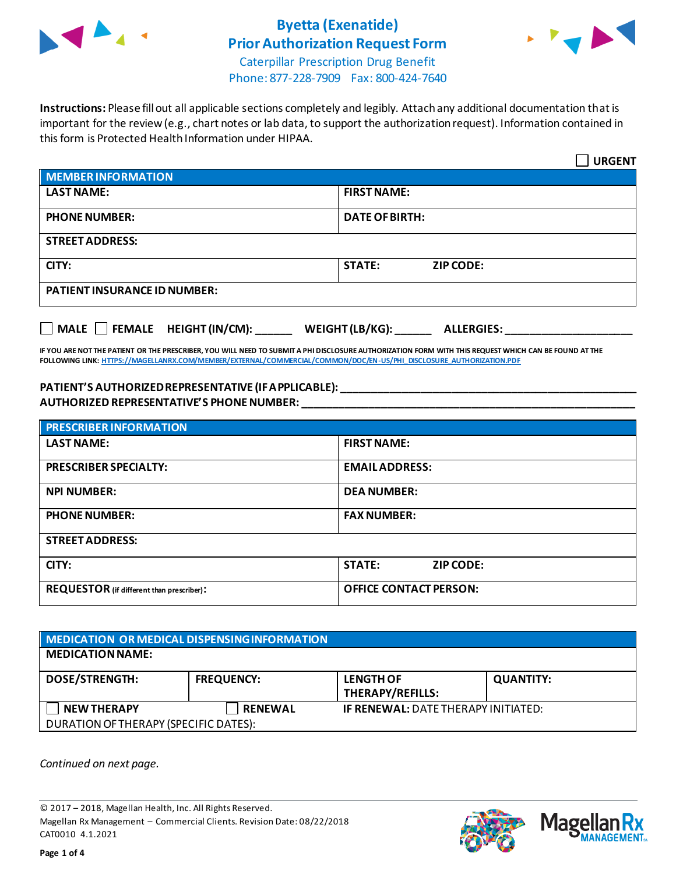



Caterpillar Prescription Drug Benefit Phone: 877-228-7909 Fax: 800-424-7640

**Instructions:** Please fill out all applicable sections completely and legibly. Attach any additional documentation that is important for the review (e.g., chart notes or lab data, to support the authorization request). Information contained in this form is Protected Health Information under HIPAA.

|                                                  | <b>URGENT</b>                             |  |
|--------------------------------------------------|-------------------------------------------|--|
| <b>MEMBER INFORMATION</b>                        |                                           |  |
| <b>LAST NAME:</b>                                | <b>FIRST NAME:</b>                        |  |
| <b>PHONE NUMBER:</b>                             | <b>DATE OF BIRTH:</b>                     |  |
| <b>STREET ADDRESS:</b>                           |                                           |  |
| CITY:                                            | <b>STATE:</b><br><b>ZIP CODE:</b>         |  |
| <b>PATIENT INSURANCE ID NUMBER:</b>              |                                           |  |
| $\Box$ MALE $\Box$ FEMALE HEIGHT (IN/CM): ______ | WEIGHT (LB/KG): $\_$<br><b>ALLERGIES:</b> |  |

**IF YOU ARE NOT THE PATIENT OR THE PRESCRIBER, YOU WILL NEED TO SUBMIT A PHI DISCLOSURE AUTHORIZATION FORM WITH THIS REQUEST WHICH CAN BE FOUND AT THE FOLLOWING LINK[: HTTPS://MAGELLANRX.COM/MEMBER/EXTERNAL/COMMERCIAL/COMMON/DOC/EN-US/PHI\\_DISCLOSURE\\_AUTHORIZATION.PDF](https://magellanrx.com/member/external/commercial/common/doc/en-us/PHI_Disclosure_Authorization.pdf)**

#### **PATIENT'S AUTHORIZED REPRESENTATIVE (IF APPLICABLE): \_\_\_\_\_\_\_\_\_\_\_\_\_\_\_\_\_\_\_\_\_\_\_\_\_\_\_\_\_\_\_\_\_\_\_\_\_\_\_\_\_\_\_\_\_\_\_\_\_ AUTHORIZED REPRESENTATIVE'S PHONE NUMBER: \_\_\_\_\_\_\_\_\_\_\_\_\_\_\_\_\_\_\_\_\_\_\_\_\_\_\_\_\_\_\_\_\_\_\_\_\_\_\_\_\_\_\_\_\_\_\_\_\_\_\_\_\_\_\_**

| <b>PRESCRIBER INFORMATION</b>             |                               |  |
|-------------------------------------------|-------------------------------|--|
| <b>LAST NAME:</b>                         | <b>FIRST NAME:</b>            |  |
| <b>PRESCRIBER SPECIALTY:</b>              | <b>EMAIL ADDRESS:</b>         |  |
| <b>NPI NUMBER:</b>                        | <b>DEA NUMBER:</b>            |  |
| <b>PHONE NUMBER:</b>                      | <b>FAX NUMBER:</b>            |  |
| <b>STREET ADDRESS:</b>                    |                               |  |
| CITY:                                     | <b>STATE:</b><br>ZIP CODE:    |  |
| REQUESTOR (if different than prescriber): | <b>OFFICE CONTACT PERSON:</b> |  |

| MEDICATION OR MEDICAL DISPENSING INFORMATION |                   |                                            |                  |  |  |
|----------------------------------------------|-------------------|--------------------------------------------|------------------|--|--|
| <b>MEDICATION NAME:</b>                      |                   |                                            |                  |  |  |
| <b>DOSE/STRENGTH:</b>                        | <b>FREQUENCY:</b> | <b>LENGTH OF</b><br>THERAPY/REFILLS:       | <b>QUANTITY:</b> |  |  |
| <b>NEW THERAPY</b>                           | <b>RENEWAL</b>    | <b>IF RENEWAL: DATE THERAPY INITIATED:</b> |                  |  |  |
| DURATION OF THERAPY (SPECIFIC DATES):        |                   |                                            |                  |  |  |

*Continued on next page.*

© 2017 – 2018, Magellan Health, Inc. All Rights Reserved. Magellan Rx Management – Commercial Clients. Revision Date: 08/22/2018 CAT0010 4.1.2021



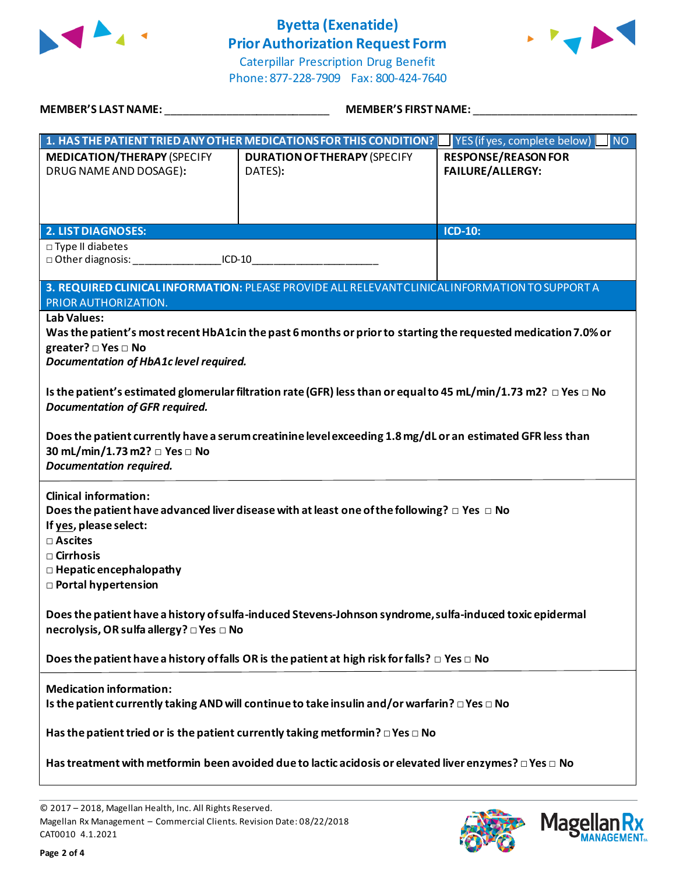



Caterpillar Prescription Drug Benefit Phone: 877-228-7909 Fax: 800-424-7640

| MEMBER'S LAST NAME: NAME AND A STATE AND A STATE OF THE STATE OF THE STATE OF THE STATE OF THE STATE OF THE ST                                                                                          |                                                                                                                                                                                                                                         | <b>MEMBER'S FIRST NAME:</b>                           |  |
|---------------------------------------------------------------------------------------------------------------------------------------------------------------------------------------------------------|-----------------------------------------------------------------------------------------------------------------------------------------------------------------------------------------------------------------------------------------|-------------------------------------------------------|--|
|                                                                                                                                                                                                         | 1. HAS THE PATIENT TRIED ANY OTHER MEDICATIONS FOR THIS CONDITION? VES (if yes, complete below)                                                                                                                                         | $\overline{\phantom{a}}$ NO                           |  |
| <b>MEDICATION/THERAPY (SPECIFY</b><br>DRUG NAME AND DOSAGE):                                                                                                                                            | <b>DURATION OF THERAPY (SPECIFY</b><br>DATES):                                                                                                                                                                                          | <b>RESPONSE/REASON FOR</b><br><b>FAILURE/ALLERGY:</b> |  |
| <b>2. LIST DIAGNOSES:</b>                                                                                                                                                                               |                                                                                                                                                                                                                                         | ICD-10:                                               |  |
| □ Type II diabetes<br>$ICD-10$                                                                                                                                                                          |                                                                                                                                                                                                                                         |                                                       |  |
| PRIOR AUTHORIZATION.<br><b>Lab Values:</b><br>greater? $\square$ Yes $\square$ No<br>Documentation of HbA1c level required.                                                                             | 3. REQUIRED CLINICAL INFORMATION: PLEASE PROVIDE ALL RELEVANT CLINICAL INFORMATION TO SUPPORT A<br>Was the patient's most recent HbA1cin the past 6 months or prior to starting the requested medication 7.0% or                        |                                                       |  |
| <b>Documentation of GFR required.</b><br>30 mL/min/1.73 m2? □ Yes □ No<br><b>Documentation required.</b>                                                                                                | Is the patient's estimated glomerular filtration rate (GFR) less than or equal to 45 mL/min/1.73 m2? $\Box$ Yes $\Box$ No<br>Does the patient currently have a serum creatinine level exceeding 1.8 mg/dL or an estimated GFR less than |                                                       |  |
| <b>Clinical information:</b><br>If yes, please select:<br>□ Ascites<br>$\square$ Cirrhosis<br>$\Box$ Hepatic encephalopathy<br><b>D</b> Portal hypertension<br>necrolysis, OR sulfa allergy? □ Yes □ No | Does the patient have advanced liver disease with at least one of the following? $\Box$ Yes $\Box$ No<br>Does the patient have a history of sulfa-induced Stevens-Johnson syndrome, sulfa-induced toxic epidermal                       |                                                       |  |
|                                                                                                                                                                                                         | Does the patient have a history of falls OR is the patient at high risk for falls? $\Box$ Yes $\Box$ No                                                                                                                                 |                                                       |  |
| <b>Medication information:</b>                                                                                                                                                                          | Is the patient currently taking AND will continue to take insulin and/or warfarin? $\Box$ Yes $\Box$ No<br>Has the patient tried or is the patient currently taking metformin? $\Box$ Yes $\Box$ No                                     |                                                       |  |
|                                                                                                                                                                                                         | Has treatment with metformin been avoided due to lactic acidosis or elevated liver enzymes? $\Box$ Yes $\Box$ No                                                                                                                        |                                                       |  |

© 2017 – 2018, Magellan Health, Inc. All Rights Reserved. Magellan Rx Management – Commercial Clients. Revision Date: 08/22/2018 CAT0010 4.1.2021



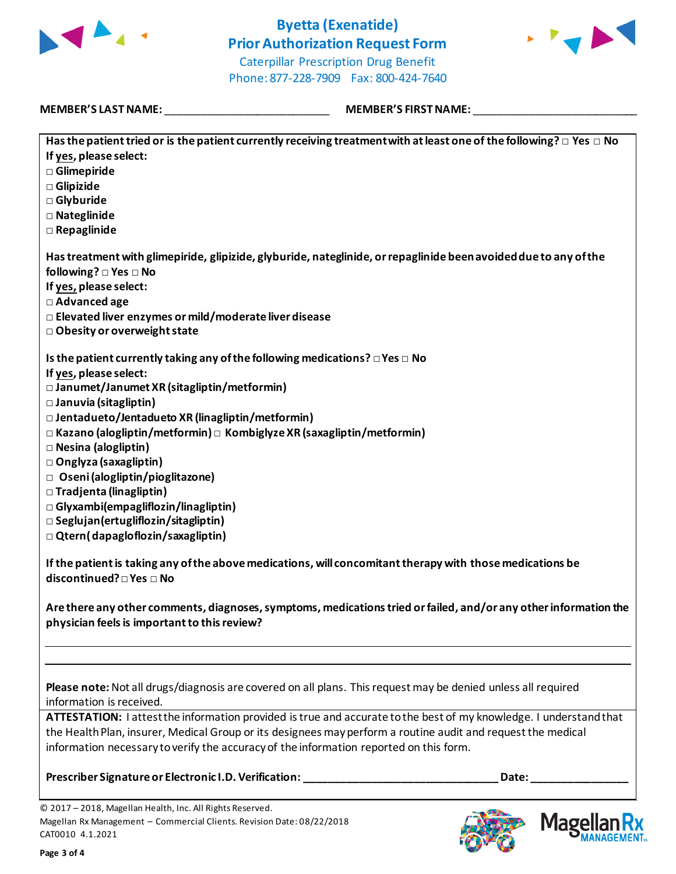

![](_page_2_Picture_2.jpeg)

Caterpillar Prescription Drug Benefit Phone: 877-228-7909 Fax: 800-424-7640

#### **MEMBER'S LAST NAME:** \_\_\_\_\_\_\_\_\_\_\_\_\_\_\_\_\_\_\_\_\_\_\_\_\_\_\_ **MEMBER'S FIRST NAME:** \_\_\_\_\_\_\_\_\_\_\_\_\_\_\_\_\_\_\_\_\_\_\_\_\_\_\_

| Has the patient tried or is the patient currently receiving treatment with at least one of the following? $\Box$ Yes $\Box$ No                                                                                                                                                    |
|-----------------------------------------------------------------------------------------------------------------------------------------------------------------------------------------------------------------------------------------------------------------------------------|
| If yes, please select:                                                                                                                                                                                                                                                            |
| □ Glimepiride                                                                                                                                                                                                                                                                     |
| □ Glipizide                                                                                                                                                                                                                                                                       |
| □ Glyburide                                                                                                                                                                                                                                                                       |
| □ Nateglinide                                                                                                                                                                                                                                                                     |
| □ Repaglinide                                                                                                                                                                                                                                                                     |
| Has treatment with glimepiride, glipizide, glyburide, nateglinide, or repaglinide been avoided due to any of the<br>following? □ Yes □ No<br>If yes, please select:<br>□ Advanced age<br>□ Elevated liver enzymes or mild/moderate liver disease<br>□ Obesity or overweight state |
| Is the patient currently taking any of the following medications? $\square$ Yes $\square$ No                                                                                                                                                                                      |
| If yes, please select:                                                                                                                                                                                                                                                            |
| □ Janumet/Janumet XR (sitagliptin/metformin)                                                                                                                                                                                                                                      |
| □ Januvia (sitagliptin)                                                                                                                                                                                                                                                           |
| $\Box$ Jentadueto/Jentadueto XR (linagliptin/metformin)                                                                                                                                                                                                                           |
| $\Box$ Kazano (alogliptin/metformin) $\Box$ Kombiglyze XR (saxagliptin/metformin)                                                                                                                                                                                                 |
| □ Nesina (alogliptin)<br>□ Onglyza (saxagliptin)                                                                                                                                                                                                                                  |
| □ Oseni (alogliptin/pioglitazone)                                                                                                                                                                                                                                                 |
| □ Tradjenta (linagliptin)                                                                                                                                                                                                                                                         |
| □ Glyxambi(empagliflozin/linagliptin)                                                                                                                                                                                                                                             |
| $\square$ Seglujan (ertugliflozin/sitagliptin)                                                                                                                                                                                                                                    |
| □ Qtern(dapagloflozin/saxagliptin)                                                                                                                                                                                                                                                |
| If the patient is taking any of the above medications, will concomitant therapy with those medications be<br>discontinued? □ Yes □ No                                                                                                                                             |
| Are there any other comments, diagnoses, symptoms, medications tried or failed, and/or any other information the<br>physician feels is important to this review?                                                                                                                  |
|                                                                                                                                                                                                                                                                                   |
| Please note: Not all drugs/diagnosis are covered on all plans. This request may be denied unless all required<br>information is received.                                                                                                                                         |
| ATTESTATION: I attest the information provided is true and accurate to the best of my knowledge. I understand that                                                                                                                                                                |
| the Health Plan, insurer, Medical Group or its designees may perform a routine audit and request the medical                                                                                                                                                                      |
| information necessary to verify the accuracy of the information reported on this form.                                                                                                                                                                                            |
| Prescriber Signature or Electronic I.D. Verification:<br>Date:                                                                                                                                                                                                                    |

© 2017 – 2018, Magellan Health, Inc. All Rights Reserved. Magellan Rx Management – Commercial Clients. Revision Date: 08/22/2018 CAT0010 4.1.2021

![](_page_2_Picture_9.jpeg)

**Mage** 

**ANAGEMENT。**